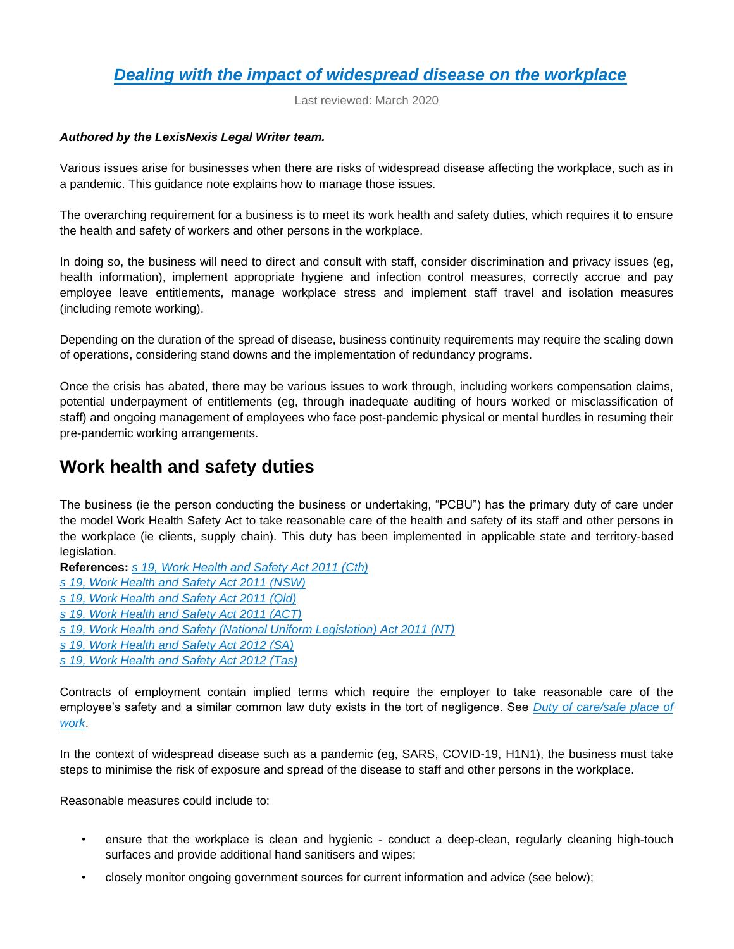# *[Dealing with the impact of widespread disease on the workplace](https://advance.lexis.com/api/document?collection=practical-guidance-au&id=urn:contentItem:5YFH-NX51-FH4C-X2DT-00000-00&context=)*

Last reviewed: March 2020

#### *Authored by the LexisNexis Legal Writer team.*

Various issues arise for businesses when there are risks of widespread disease affecting the workplace, such as in a pandemic. This guidance note explains how to manage those issues.

The overarching requirement for a business is to meet its work health and safety duties, which requires it to ensure the health and safety of workers and other persons in the workplace.

In doing so, the business will need to direct and consult with staff, consider discrimination and privacy issues (eg, health information), implement appropriate hygiene and infection control measures, correctly accrue and pay employee leave entitlements, manage workplace stress and implement staff travel and isolation measures (including remote working).

Depending on the duration of the spread of disease, business continuity requirements may require the scaling down of operations, considering stand downs and the implementation of redundancy programs.

Once the crisis has abated, there may be various issues to work through, including workers compensation claims, potential underpayment of entitlements (eg, through inadequate auditing of hours worked or misclassification of staff) and ongoing management of employees who face post-pandemic physical or mental hurdles in resuming their pre-pandemic working arrangements.

## **Work health and safety duties**

The business (ie the person conducting the business or undertaking, "PCBU") has the primary duty of care under the model Work Health Safety Act to take reasonable care of the health and safety of its staff and other persons in the workplace (ie clients, supply chain). This duty has been implemented in applicable state and territory-based legislation.

**References:** *[s 19, Work Health and Safety Act 2011 \(Cth\)](https://advance.lexis.com/api/document?collection=legislation-au&id=urn:contentItem:58X0-TN61-JT42-S05D-00000-00&context=)*

- *[s 19, Work Health and Safety Act 2011 \(NSW\)](https://advance.lexis.com/api/document?collection=legislation-au&id=urn:contentItem:58X6-XFY1-JWJ0-G03C-00000-00&context=)*
- *[s 19, Work Health and Safety Act 2011 \(Qld\)](https://advance.lexis.com/api/document?collection=legislation-au&id=urn:contentItem:5S35-5J41-F8D9-M1BB-00000-00&context=)*
- *[s 19, Work Health and Safety Act 2011 \(ACT\)](https://advance.lexis.com/api/document?collection=legislation-au&id=urn:contentItem:58PR-6DM1-JTNR-M4W8-00000-00&context=)*

*[s 19, Work Health and Safety \(National Uniform Legislation\) Act 2011 \(NT\)](https://advance.lexis.com/api/document?collection=legislation-au&id=urn:contentItem:58X6-9JP1-F27X-61KN-00000-00&context=)*

- *[s 19, Work Health and Safety Act 2012 \(SA\)](https://advance.lexis.com/api/document?collection=legislation-au&id=urn:contentItem:58WM-DSJ1-JS0R-20FD-00000-00&context=)*
- *[s 19, Work Health and Safety Act 2012 \(Tas\)](https://advance.lexis.com/api/document?collection=legislation-au&id=urn:contentItem:58WW-77W1-FCK4-G101-00000-00&context=)*

Contracts of employment contain implied terms which require the employer to take reasonable care of the employee's safety and a similar common law duty exists in the tort of negligence. See *[Duty of care/safe place of](https://advance.lexis.com/api/document?collection=practical-guidance-au&id=urn:contentItem:58TV-GSP1-FD4T-B1KD-00000-00&context=)  [work](https://advance.lexis.com/api/document?collection=practical-guidance-au&id=urn:contentItem:58TV-GSP1-FD4T-B1KD-00000-00&context=)*.

In the context of widespread disease such as a pandemic (eg, SARS, COVID-19, H1N1), the business must take steps to minimise the risk of exposure and spread of the disease to staff and other persons in the workplace.

Reasonable measures could include to:

- ensure that the workplace is clean and hygienic conduct a deep-clean, regularly cleaning high-touch surfaces and provide additional hand sanitisers and wipes;
- closely monitor ongoing government sources for current information and advice (see below);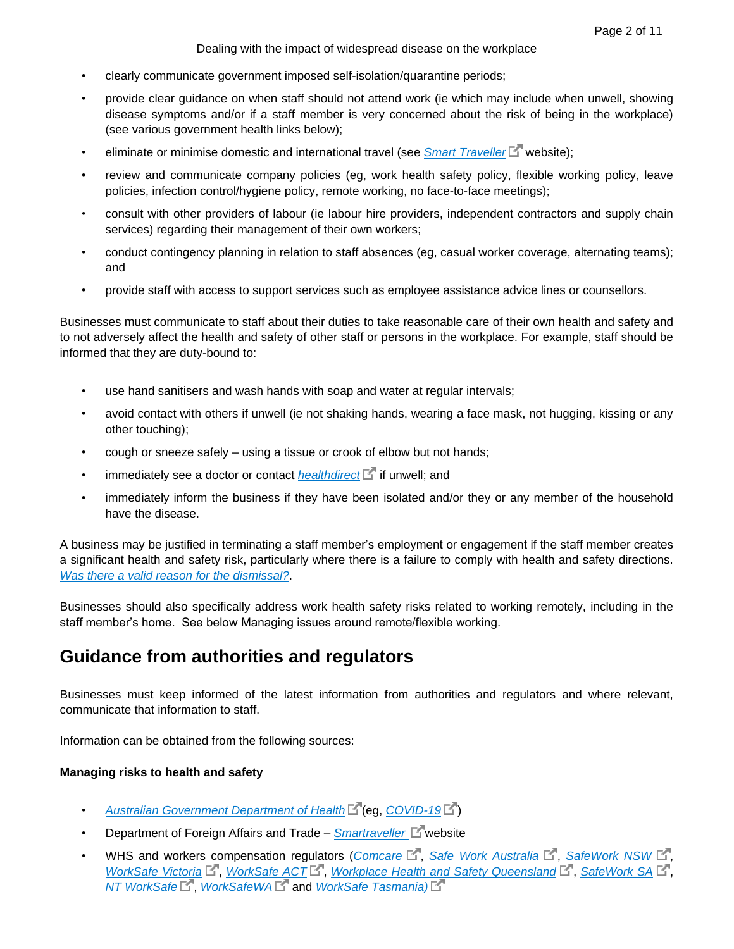Dealing with the impact of widespread disease on the workplace

- clearly communicate government imposed self-isolation/quarantine periods;
- provide clear guidance on when staff should not attend work (ie which may include when unwell, showing disease symptoms and/or if a staff member is very concerned about the risk of being in the workplace) (see various government health links below);
- eliminate or minimise domestic and international travel (see *[Smart Traveller](https://www.smartraveller.gov.au/)*  $\Box$ <sup>r</sup> website);
- review and communicate company policies (eg, work health safety policy, flexible working policy, leave policies, infection control/hygiene policy, remote working, no face-to-face meetings);
- consult with other providers of labour (ie labour hire providers, independent contractors and supply chain services) regarding their management of their own workers;
- conduct contingency planning in relation to staff absences (eg, casual worker coverage, alternating teams); and
- provide staff with access to support services such as employee assistance advice lines or counsellors.

Businesses must communicate to staff about their duties to take reasonable care of their own health and safety and to not adversely affect the health and safety of other staff or persons in the workplace. For example, staff should be informed that they are duty-bound to:

- use hand sanitisers and wash hands with soap and water at regular intervals;
- avoid contact with others if unwell (ie not shaking hands, wearing a face mask, not hugging, kissing or any other touching);
- cough or sneeze safely using a tissue or crook of elbow but not hands;
- immediately see a doctor or contact *[healthdirect](https://www.healthdirect.gov.au/)* **interest in the lange in the interpole in the interest of the interest in the interest in the interest in the interest in the interest in the interest in the interest in**
- immediately inform the business if they have been isolated and/or they or any member of the household have the disease.

A business may be justified in terminating a staff member's employment or engagement if the staff member creates a significant health and safety risk, particularly where there is a failure to comply with health and safety directions. *[Was there a valid reason for the dismissal?](https://advance.lexis.com/api/document?collection=practical-guidance-au&id=urn:contentItem:58TV-GSP1-FD4T-B1KY-00000-00&context=)*.

Businesses should also specifically address work health safety risks related to working remotely, including in the staff member's home. See below Managing issues around remote/flexible working.

# **Guidance from authorities and regulators**

Businesses must keep informed of the latest information from authorities and regulators and where relevant, communicate that information to staff.

Information can be obtained from the following sources:

#### **Managing risks to health and safety**

- *[Australian Government Department of Health](https://www.health.gov.au/health-topics)* (eg, *[COVID-19](https://www.health.gov.au/health-topics/novel-coronavirus-2019-ncov)* )
- Department of Foreign Affairs and Trade *Smartraveller* L<sup>n</sup>website
- WHS and workers compensation regulators (*[Comcare](https://www.comcare.gov.au/)*  $\mathbb{E}^n$ , *[Safe Work Australia](https://www.safeworkaustralia.gov.au/)*  $\mathbb{E}^n$ , *[SafeWork NSW](https://www.safework.nsw.gov.au/)*  $\mathbb{E}^n$ , *[WorkSafe Victoria](https://www.worksafe.vic.gov.au/)*  $E^T$ , *[WorkSafe ACT](https://www.accesscanberra.act.gov.au/app/home/workhealthandsafety/worksafeact)*  $E^T$ , *[Workplace Health and Safety Queensland](https://www.worksafe.qld.gov.au/)*  $E^T$ , *[SafeWork SA](https://www.safework.sa.gov.au/)*  $E^T$ , *[NT WorkSafe](https://worksafe.nt.gov.au/)*  $\mathbb{E}^{\mathbb{T}}$ , *[WorkSafeWA](https://www.commerce.wa.gov.au/worksafe)*  $\mathbb{E}^{\mathbb{T}}$  and *WorkSafe Tasmania*)  $\mathbb{E}^{\mathbb{T}}$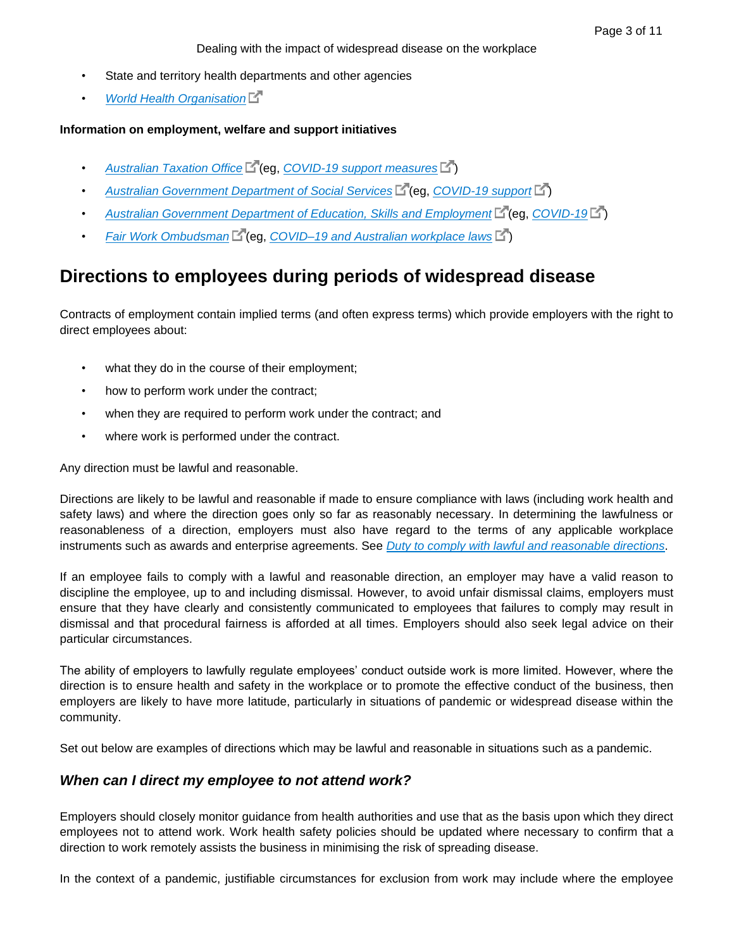- State and territory health departments and other agencies
- *[World Health Organisation](https://www.who.int/)*

#### **Information on employment, welfare and support initiatives**

- [Australian Taxation Office](http://www.ato.gov.au/) **C** (eq. [COVID-19 support measures](https://www.ato.gov.au/Media-centre/Media-releases/Support-measures-to-assist-those-affected-by-COVID-19/) C )
- [Australian Government Department of Social Services](https://www.dss.gov.au/)<sup>[4]</sup> (eg, *[COVID-19 support](https://www.dss.gov.au/about-the-department/covid-19-information-and-support)*<sup>[4]</sup>)
- [Australian Government Department of Education, Skills and Employment](https://www.dese.gov.au/)<sup>re</sup> (eg, *[COVID-19](https://www.dese.gov.au/news/coronavirus-covid-19)*<sup>2</sup>)
- *[Fair Work Ombudsman](https://www.fairwork.gov.au/)* (eg, *[COVID–19 and Australian workplace laws](https://www.fairwork.gov.au/about-us/news-and-media-releases/website-news/coronavirus-and-australian-workplace-laws)* )

# **Directions to employees during periods of widespread disease**

Contracts of employment contain implied terms (and often express terms) which provide employers with the right to direct employees about:

- what they do in the course of their employment;
- how to perform work under the contract;
- when they are required to perform work under the contract; and
- where work is performed under the contract.

Any direction must be lawful and reasonable.

Directions are likely to be lawful and reasonable if made to ensure compliance with laws (including work health and safety laws) and where the direction goes only so far as reasonably necessary. In determining the lawfulness or reasonableness of a direction, employers must also have regard to the terms of any applicable workplace instruments such as awards and enterprise agreements. See *[Duty to comply with lawful and reasonable directions](https://advance.lexis.com/api/document?collection=practical-guidance-au&id=urn:contentItem:58TV-GSP1-FD4T-B1JK-00000-00&context=)*.

If an employee fails to comply with a lawful and reasonable direction, an employer may have a valid reason to discipline the employee, up to and including dismissal. However, to avoid unfair dismissal claims, employers must ensure that they have clearly and consistently communicated to employees that failures to comply may result in dismissal and that procedural fairness is afforded at all times. Employers should also seek legal advice on their particular circumstances.

The ability of employers to lawfully regulate employees' conduct outside work is more limited. However, where the direction is to ensure health and safety in the workplace or to promote the effective conduct of the business, then employers are likely to have more latitude, particularly in situations of pandemic or widespread disease within the community.

Set out below are examples of directions which may be lawful and reasonable in situations such as a pandemic.

### *When can I direct my employee to not attend work?*

Employers should closely monitor guidance from health authorities and use that as the basis upon which they direct employees not to attend work. Work health safety policies should be updated where necessary to confirm that a direction to work remotely assists the business in minimising the risk of spreading disease.

In the context of a pandemic, justifiable circumstances for exclusion from work may include where the employee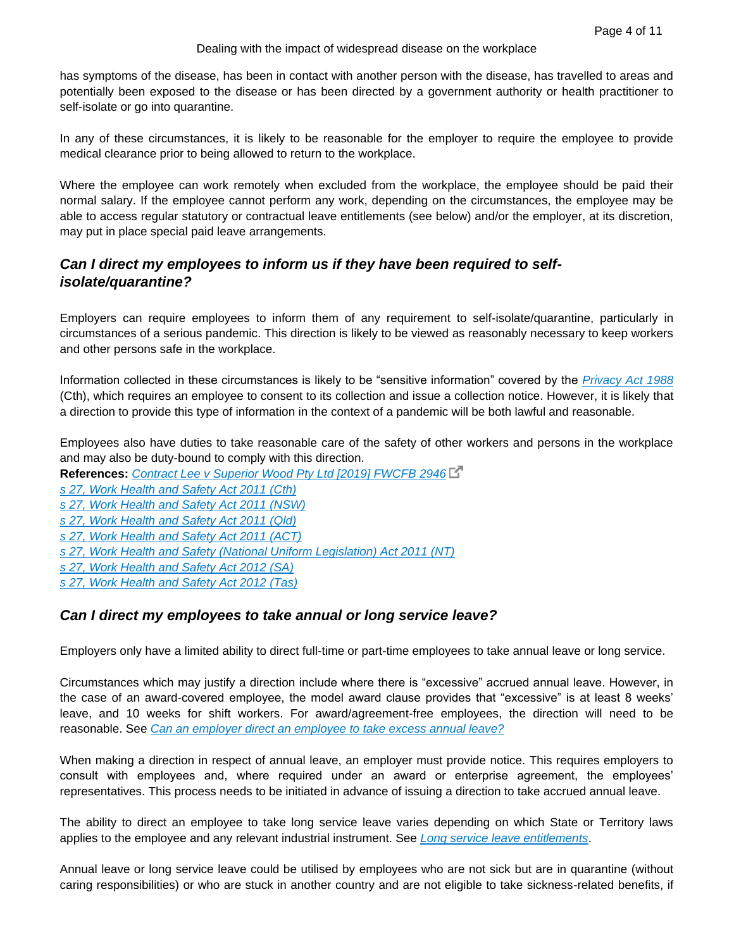has symptoms of the disease, has been in contact with another person with the disease, has travelled to areas and potentially been exposed to the disease or has been directed by a government authority or health practitioner to self-isolate or go into quarantine.

In any of these circumstances, it is likely to be reasonable for the employer to require the employee to provide medical clearance prior to being allowed to return to the workplace.

Where the employee can work remotely when excluded from the workplace, the employee should be paid their normal salary. If the employee cannot perform any work, depending on the circumstances, the employee may be able to access regular statutory or contractual leave entitlements (see below) and/or the employer, at its discretion, may put in place special paid leave arrangements.

## *Can I direct my employees to inform us if they have been required to selfisolate/quarantine?*

Employers can require employees to inform them of any requirement to self-isolate/quarantine, particularly in circumstances of a serious pandemic. This direction is likely to be viewed as reasonably necessary to keep workers and other persons safe in the workplace.

Information collected in these circumstances is likely to be "sensitive information" covered by the *[Privacy Act 1988](https://advance.lexis.com/api/document?collection=legislation-au&id=urn:contentItem:58X0-TN11-JS0R-2196-00000-00&context=)* (Cth), which requires an employee to consent to its collection and issue a collection notice. However, it is likely that a direction to provide this type of information in the context of a pandemic will be both lawful and reasonable.

Employees also have duties to take reasonable care of the safety of other workers and persons in the workplace and may also be duty-bound to comply with this direction.

**References:** *[Contract Lee v Superior Wood Pty Ltd \[2019\] FWCFB 2946](https://www.fwc.gov.au/documents/decisionssigned/html/2019fwcfb2946.htm)*

*[s 27, Work Health and Safety Act 2011 \(Cth\)](https://advance.lexis.com/api/document?collection=legislation-au&id=urn:contentItem:58X0-TN61-JT42-S05G-00000-00&context=)*

*[s 27, Work Health and Safety Act 2011 \(NSW\)](https://advance.lexis.com/api/document?collection=legislation-au&id=urn:contentItem:58X6-XFY1-JWJ0-G03F-00000-00&context=)*

*[s 27, Work Health and Safety Act 2011 \(Qld\)](https://advance.lexis.com/api/document?collection=legislation-au&id=urn:contentItem:5S35-5J41-F8D9-M1B7-00000-00&context=)*

*[s 27, Work Health and Safety Act 2011 \(ACT\)](https://advance.lexis.com/api/document?collection=legislation-au&id=urn:contentItem:58PR-6DM1-JTNR-M4WB-00000-00&context=)*

*[s 27, Work Health and Safety \(National Uniform Legislation\) Act 2011 \(NT\)](https://advance.lexis.com/api/document?collection=legislation-au&id=urn:contentItem:58X6-9JP1-F27X-61KR-00000-00&context=)*

*[s 27, Work Health and Safety Act 2012 \(SA\)](https://advance.lexis.com/api/document?collection=legislation-au&id=urn:contentItem:58WM-DSJ1-JS0R-20FG-00000-00&context=)*

*[s 27, Work Health and Safety Act 2012 \(Tas\)](https://advance.lexis.com/api/document?collection=legislation-au&id=urn:contentItem:58WW-77W1-FCK4-G103-00000-00&context=)*

## *Can I direct my employees to take annual or long service leave?*

Employers only have a limited ability to direct full-time or part-time employees to take annual leave or long service.

Circumstances which may justify a direction include where there is "excessive" accrued annual leave. However, in the case of an award-covered employee, the model award clause provides that "excessive" is at least 8 weeks' leave, and 10 weeks for shift workers. For award/agreement-free employees, the direction will need to be reasonable. See *[Can an employer direct an employee to take excess annual leave?](https://advance.lexis.com/api/document?collection=practical-guidance-au&id=urn:contentItem:5TJC-4551-DYMS-609S-00000-00&context=)*

When making a direction in respect of annual leave, an employer must provide notice. This requires employers to consult with employees and, where required under an award or enterprise agreement, the employees' representatives. This process needs to be initiated in advance of issuing a direction to take accrued annual leave.

The ability to direct an employee to take long service leave varies depending on which State or Territory laws applies to the employee and any relevant industrial instrument. See *[Long service leave entitlements](https://advance.lexis.com/api/document?collection=practical-guidance-au&id=urn:contentItem:58TV-GSP1-FD4T-B1K5-00000-00&context=)*.

Annual leave or long service leave could be utilised by employees who are not sick but are in quarantine (without caring responsibilities) or who are stuck in another country and are not eligible to take sickness-related benefits, if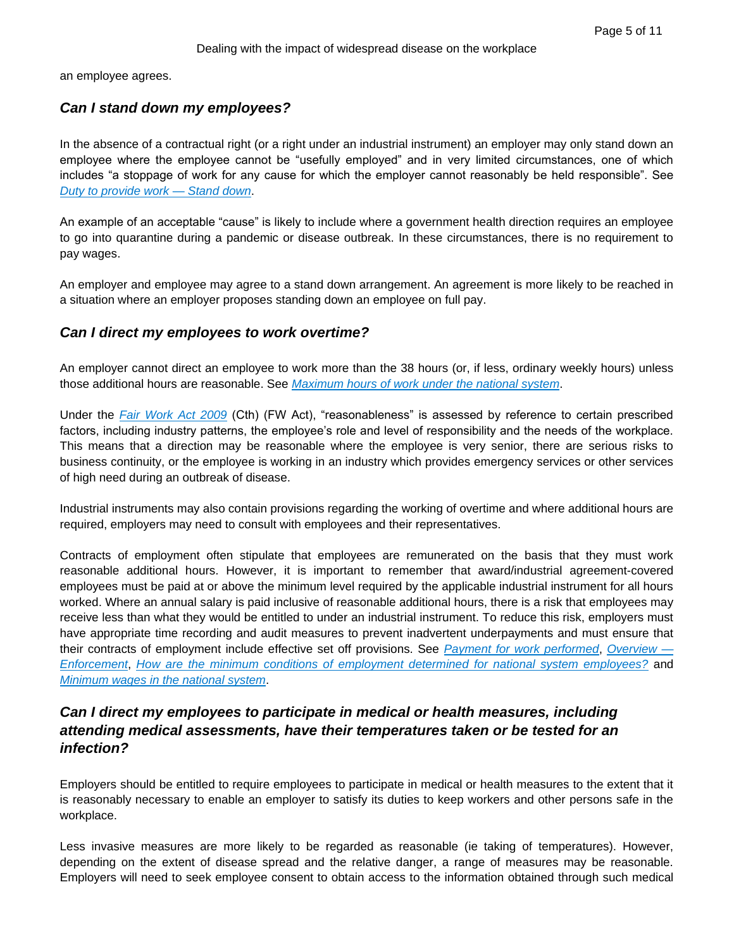an employee agrees.

### *Can I stand down my employees?*

In the absence of a contractual right (or a right under an industrial instrument) an employer may only stand down an employee where the employee cannot be "usefully employed" and in very limited circumstances, one of which includes "a stoppage of work for any cause for which the employer cannot reasonably be held responsible". See *[Duty to provide work —](https://advance.lexis.com/api/document?collection=practical-guidance-au&id=urn:contentItem:58TV-GSP1-FD4T-B1KG-00000-00&context=) Stand down*.

An example of an acceptable "cause" is likely to include where a government health direction requires an employee to go into quarantine during a pandemic or disease outbreak. In these circumstances, there is no requirement to pay wages.

An employer and employee may agree to a stand down arrangement. An agreement is more likely to be reached in a situation where an employer proposes standing down an employee on full pay.

### *Can I direct my employees to work overtime?*

An employer cannot direct an employee to work more than the 38 hours (or, if less, ordinary weekly hours) unless those additional hours are reasonable. See *[Maximum hours of work under the national system](https://advance.lexis.com/api/document?collection=practical-guidance-au&id=urn:contentItem:58TV-GSP1-FD4T-B1KM-00000-00&context=)*.

Under the *[Fair Work Act 2009](https://advance.lexis.com/api/document?collection=legislation-au&id=urn:contentItem:58X0-TN61-F57G-S2TG-00000-00&context=)* (Cth) (FW Act), "reasonableness" is assessed by reference to certain prescribed factors, including industry patterns, the employee's role and level of responsibility and the needs of the workplace. This means that a direction may be reasonable where the employee is very senior, there are serious risks to business continuity, or the employee is working in an industry which provides emergency services or other services of high need during an outbreak of disease.

Industrial instruments may also contain provisions regarding the working of overtime and where additional hours are required, employers may need to consult with employees and their representatives.

Contracts of employment often stipulate that employees are remunerated on the basis that they must work reasonable additional hours. However, it is important to remember that award/industrial agreement-covered employees must be paid at or above the minimum level required by the applicable industrial instrument for all hours worked. Where an annual salary is paid inclusive of reasonable additional hours, there is a risk that employees may receive less than what they would be entitled to under an industrial instrument. To reduce this risk, employers must have appropriate time recording and audit measures to prevent inadvertent underpayments and must ensure that their contracts of employment include effective set off provisions. See *[Payment for work performed](https://advance.lexis.com/api/document?collection=practical-guidance-au&id=urn:contentItem:58TV-GSP1-FD4T-B1KC-00000-00&context=)*, *[Overview —](https://advance.lexis.com/api/document?collection=practical-guidance-au&id=urn:contentItem:58TH-JP01-F528-G0PF-00000-00&context=) [Enforcement](https://advance.lexis.com/api/document?collection=practical-guidance-au&id=urn:contentItem:58TH-JP01-F528-G0PF-00000-00&context=)*, *[How are the minimum conditions of employment determined for national system employees?](https://advance.lexis.com/api/document?collection=practical-guidance-au&id=urn:contentItem:5XKC-GT71-JGHR-M3SS-00000-00&context=)* and *[Minimum wages in the national system](https://advance.lexis.com/api/document?collection=practical-guidance-au&id=urn:contentItem:58TV-GSP1-FD4T-B1KK-00000-00&context=)*.

## *Can I direct my employees to participate in medical or health measures, including attending medical assessments, have their temperatures taken or be tested for an infection?*

Employers should be entitled to require employees to participate in medical or health measures to the extent that it is reasonably necessary to enable an employer to satisfy its duties to keep workers and other persons safe in the workplace.

Less invasive measures are more likely to be regarded as reasonable (ie taking of temperatures). However, depending on the extent of disease spread and the relative danger, a range of measures may be reasonable. Employers will need to seek employee consent to obtain access to the information obtained through such medical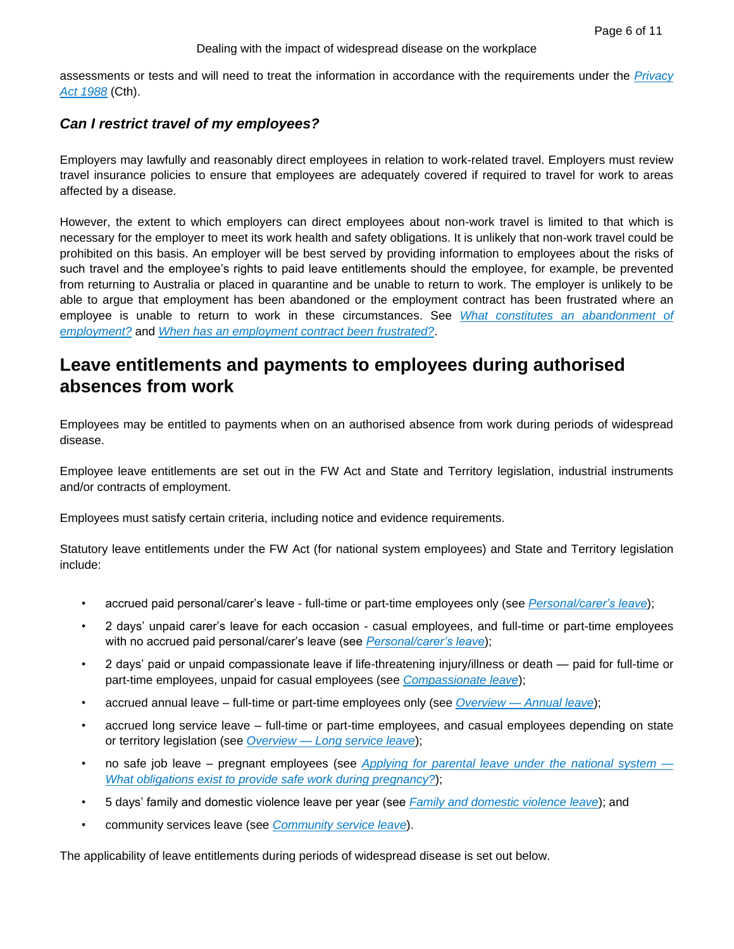assessments or tests and will need to treat the information in accordance with the requirements under the *[Privacy](https://advance.lexis.com/api/document?collection=legislation-au&id=urn:contentItem:58X0-TN11-JS0R-2196-00000-00&context=)  [Act 1988](https://advance.lexis.com/api/document?collection=legislation-au&id=urn:contentItem:58X0-TN11-JS0R-2196-00000-00&context=)* (Cth).

## *Can I restrict travel of my employees?*

Employers may lawfully and reasonably direct employees in relation to work-related travel. Employers must review travel insurance policies to ensure that employees are adequately covered if required to travel for work to areas affected by a disease.

However, the extent to which employers can direct employees about non-work travel is limited to that which is necessary for the employer to meet its work health and safety obligations. It is unlikely that non-work travel could be prohibited on this basis. An employer will be best served by providing information to employees about the risks of such travel and the employee's rights to paid leave entitlements should the employee, for example, be prevented from returning to Australia or placed in quarantine and be unable to return to work. The employer is unlikely to be able to argue that employment has been abandoned or the employment contract has been frustrated where an employee is unable to return to work in these circumstances. See *[What constitutes an abandonment of](https://advance.lexis.com/api/document?collection=practical-guidance-au&id=urn:contentItem:5PNW-JS71-F30T-B382-00000-00&context=)  [employment?](https://advance.lexis.com/api/document?collection=practical-guidance-au&id=urn:contentItem:5PNW-JS71-F30T-B382-00000-00&context=)* and *[When has an employment contract been frustrated?](https://advance.lexis.com/api/document?collection=practical-guidance-au&id=urn:contentItem:5PNW-JS71-F30T-B381-00000-00&context=)*.

# **Leave entitlements and payments to employees during authorised absences from work**

Employees may be entitled to payments when on an authorised absence from work during periods of widespread disease.

Employee leave entitlements are set out in the FW Act and State and Territory legislation, industrial instruments and/or contracts of employment.

Employees must satisfy certain criteria, including notice and evidence requirements.

Statutory leave entitlements under the FW Act (for national system employees) and State and Territory legislation include:

- accrued paid personal/carer's leave full-time or part-time employees only (see *[Personal/carer's leave](https://advance.lexis.com/api/document?collection=practical-guidance-au&id=urn:contentItem:58TV-GSP1-FD4T-B1JY-00000-00&context=)*);
- 2 days' unpaid carer's leave for each occasion casual employees, and full-time or part-time employees with no accrued paid personal/carer's leave (see *[Personal/carer's leave](https://advance.lexis.com/api/document?collection=practical-guidance-au&id=urn:contentItem:58TV-GSP1-FD4T-B1JY-00000-00&context=)*);
- 2 days' paid or unpaid compassionate leave if life-threatening injury/illness or death paid for full-time or part-time employees, unpaid for casual employees (see *[Compassionate leave](https://advance.lexis.com/api/document?collection=practical-guidance-au&id=urn:contentItem:58TV-GSP1-FD4T-B1K0-00000-00&context=)*);
- accrued annual leave full-time or part-time employees only (see *Overview — [Annual leave](https://advance.lexis.com/api/document?collection=practical-guidance-au&id=urn:contentItem:58TH-JP01-F528-G0NT-00000-00&context=)*);
- accrued long service leave full-time or part-time employees, and casual employees depending on state or territory legislation (see *Overview — [Long service leave](https://advance.lexis.com/api/document?collection=practical-guidance-au&id=urn:contentItem:58TH-JP01-F528-G0NW-00000-00&context=)*);
- no safe job leave pregnant employees (see *[Applying for parental leave under the national system —](https://advance.lexis.com/api/document?collection=practical-guidance-au&id=urn:contentItem:5PYN-K1S1-JX3N-B372-00000-00&context=) [What obligations exist to provide safe work during pregnancy?](https://advance.lexis.com/api/document?collection=practical-guidance-au&id=urn:contentItem:5PYN-K1S1-JX3N-B372-00000-00&context=)*);
- 5 days' family and domestic violence leave per year (see *[Family and domestic violence leave](https://advance.lexis.com/api/document?collection=practical-guidance-au&id=urn:contentItem:5XN8-F6G1-JFDC-X50C-00000-00&context=)*); and
- community services leave (see *[Community service leave](https://advance.lexis.com/api/document?collection=practical-guidance-au&id=urn:contentItem:58TV-GSP1-FD4T-B1K1-00000-00&context=)*).

The applicability of leave entitlements during periods of widespread disease is set out below.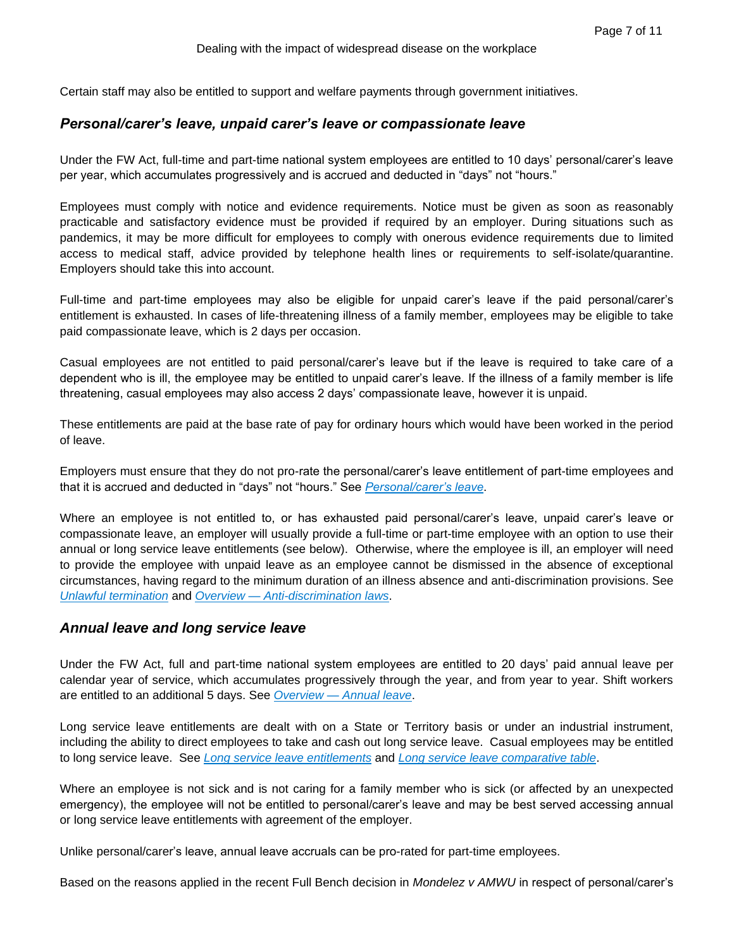Certain staff may also be entitled to support and welfare payments through government initiatives.

### *Personal/carer's leave, unpaid carer's leave or compassionate leave*

Under the FW Act, full-time and part-time national system employees are entitled to 10 days' personal/carer's leave per year, which accumulates progressively and is accrued and deducted in "days" not "hours."

Employees must comply with notice and evidence requirements. Notice must be given as soon as reasonably practicable and satisfactory evidence must be provided if required by an employer. During situations such as pandemics, it may be more difficult for employees to comply with onerous evidence requirements due to limited access to medical staff, advice provided by telephone health lines or requirements to self-isolate/quarantine. Employers should take this into account.

Full-time and part-time employees may also be eligible for unpaid carer's leave if the paid personal/carer's entitlement is exhausted. In cases of life-threatening illness of a family member, employees may be eligible to take paid compassionate leave, which is 2 days per occasion.

Casual employees are not entitled to paid personal/carer's leave but if the leave is required to take care of a dependent who is ill, the employee may be entitled to unpaid carer's leave. If the illness of a family member is life threatening, casual employees may also access 2 days' compassionate leave, however it is unpaid.

These entitlements are paid at the base rate of pay for ordinary hours which would have been worked in the period of leave.

Employers must ensure that they do not pro-rate the personal/carer's leave entitlement of part-time employees and that it is accrued and deducted in "days" not "hours." See *[Personal/carer's leave](https://advance.lexis.com/api/document?collection=practical-guidance-au&id=urn:contentItem:58TV-GSP1-FD4T-B1JY-00000-00&context=)*.

Where an employee is not entitled to, or has exhausted paid personal/carer's leave, unpaid carer's leave or compassionate leave, an employer will usually provide a full-time or part-time employee with an option to use their annual or long service leave entitlements (see below). Otherwise, where the employee is ill, an employer will need to provide the employee with unpaid leave as an employee cannot be dismissed in the absence of exceptional circumstances, having regard to the minimum duration of an illness absence and anti-discrimination provisions. See *[Unlawful termination](https://advance.lexis.com/api/document?collection=practical-guidance-au&id=urn:contentItem:58TV-GSP1-FD4T-B1KS-00000-00&context=)* and *Overview — [Anti-discrimination laws](https://advance.lexis.com/api/document?collection=practical-guidance-au&id=urn:contentItem:58TH-JP01-F528-G0MT-00000-00&context=)*.

#### *Annual leave and long service leave*

Under the FW Act, full and part-time national system employees are entitled to 20 days' paid annual leave per calendar year of service, which accumulates progressively through the year, and from year to year. Shift workers are entitled to an additional 5 days. See *Overview — [Annual leave](https://advance.lexis.com/api/document?collection=practical-guidance-au&id=urn:contentItem:58TH-JP01-F528-G0NT-00000-00&context=)*.

Long service leave entitlements are dealt with on a State or Territory basis or under an industrial instrument, including the ability to direct employees to take and cash out long service leave. Casual employees may be entitled to long service leave. See *[Long service leave entitlements](https://advance.lexis.com/api/document?collection=practical-guidance-au&id=urn:contentItem:58TV-GSP1-FD4T-B1K5-00000-00&context=)* and *[Long service leave comparative table](https://advance.lexis.com/api/document?collection=practical-guidance-au&id=urn:contentItem:5P6F-JPW1-JX3N-B0RJ-00000-00&context=)*.

Where an employee is not sick and is not caring for a family member who is sick (or affected by an unexpected emergency), the employee will not be entitled to personal/carer's leave and may be best served accessing annual or long service leave entitlements with agreement of the employer.

Unlike personal/carer's leave, annual leave accruals can be pro-rated for part-time employees.

Based on the reasons applied in the recent Full Bench decision in *Mondelez v AMWU* in respect of personal/carer's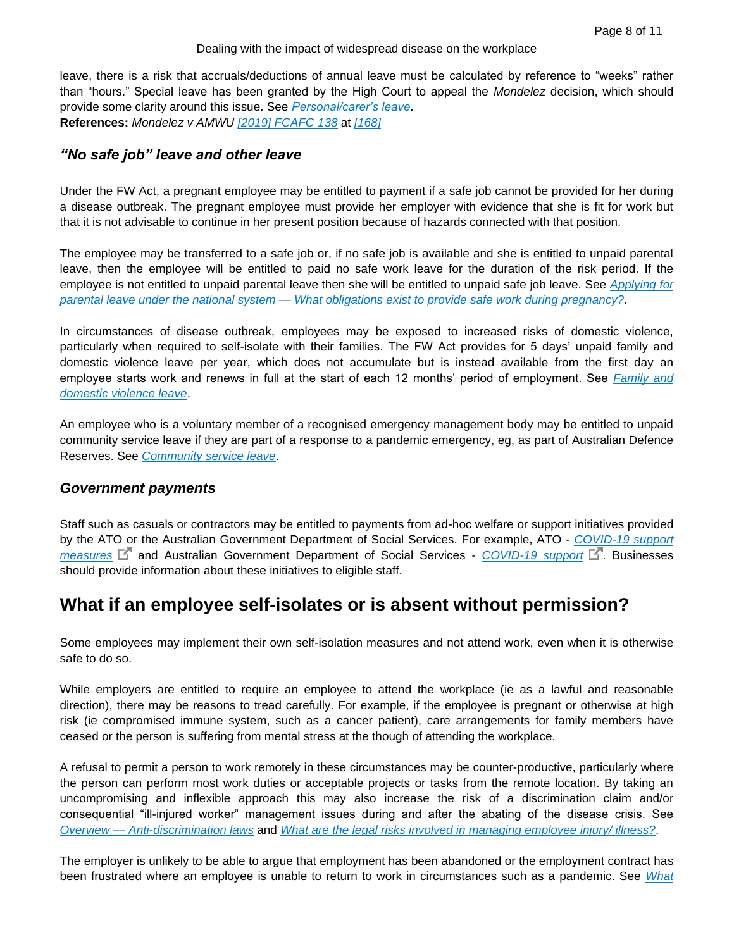leave, there is a risk that accruals/deductions of annual leave must be calculated by reference to "weeks" rather than "hours." Special leave has been granted by the High Court to appeal the *Mondelez* decision, which should provide some clarity around this issue. See *[Personal/carer's leave](https://advance.lexis.com/api/document?collection=practical-guidance-au&id=urn:contentItem:58TV-GSP1-FD4T-B1JY-00000-00&context=)*. **References:** *Mondelez v AMWU [\[2019\] FCAFC 138](https://advance.lexis.com/api/document?collection=cases-au&id=urn:contentItem:5WYN-11J1-JF75-M54R-00000-00&context=)* at *[\[168\]](https://advance.lexis.com/api/document?collection=cases-au&id=urn:contentItem:5WYN-11J1-JF75-M54R-00000-00&context=)*

### *"No safe job" leave and other leave*

Under the FW Act, a pregnant employee may be entitled to payment if a safe job cannot be provided for her during a disease outbreak. The pregnant employee must provide her employer with evidence that she is fit for work but that it is not advisable to continue in her present position because of hazards connected with that position.

The employee may be transferred to a safe job or, if no safe job is available and she is entitled to unpaid parental leave, then the employee will be entitled to paid no safe work leave for the duration of the risk period. If the employee is not entitled to unpaid parental leave then she will be entitled to unpaid safe job leave. See *[Applying for](https://advance.lexis.com/api/document?collection=practical-guidance-au&id=urn:contentItem:5PYN-K1S1-JX3N-B372-00000-00&context=)  parental leave under the national system — [What obligations exist to provide safe work during pregnancy?](https://advance.lexis.com/api/document?collection=practical-guidance-au&id=urn:contentItem:5PYN-K1S1-JX3N-B372-00000-00&context=)*.

In circumstances of disease outbreak, employees may be exposed to increased risks of domestic violence, particularly when required to self-isolate with their families. The FW Act provides for 5 days' unpaid family and domestic violence leave per year, which does not accumulate but is instead available from the first day an employee starts work and renews in full at the start of each 12 months' period of employment. See *[Family and](https://advance.lexis.com/api/document?collection=practical-guidance-au&id=urn:contentItem:5XN8-F6G1-JFDC-X50C-00000-00&context=)  [domestic violence leave](https://advance.lexis.com/api/document?collection=practical-guidance-au&id=urn:contentItem:5XN8-F6G1-JFDC-X50C-00000-00&context=)*.

An employee who is a voluntary member of a recognised emergency management body may be entitled to unpaid community service leave if they are part of a response to a pandemic emergency, eg, as part of Australian Defence Reserves. See *[Community service leave](https://advance.lexis.com/api/document?collection=practical-guidance-au&id=urn:contentItem:58TV-GSP1-FD4T-B1K1-00000-00&context=)*.

### *Government payments*

Staff such as casuals or contractors may be entitled to payments from ad-hoc welfare or support initiatives provided by the ATO or the Australian Government Department of Social Services. For example, ATO - *[COVID-19 support](https://www.ato.gov.au/Media-centre/Media-releases/Support-measures-to-assist-those-affected-by-COVID-19/)*  [measures](https://www.ato.gov.au/Media-centre/Media-releases/Support-measures-to-assist-those-affected-by-COVID-19/)<sup> C</sup> and Australian Government Department of Social Services - *[COVID-19 support](https://www.dss.gov.au/about-the-department/covid-19-information-and-support)* C. Businesses should provide information about these initiatives to eligible staff.

# **What if an employee self-isolates or is absent without permission?**

Some employees may implement their own self-isolation measures and not attend work, even when it is otherwise safe to do so.

While employers are entitled to require an employee to attend the workplace (ie as a lawful and reasonable direction), there may be reasons to tread carefully. For example, if the employee is pregnant or otherwise at high risk (ie compromised immune system, such as a cancer patient), care arrangements for family members have ceased or the person is suffering from mental stress at the though of attending the workplace.

A refusal to permit a person to work remotely in these circumstances may be counter-productive, particularly where the person can perform most work duties or acceptable projects or tasks from the remote location. By taking an uncompromising and inflexible approach this may also increase the risk of a discrimination claim and/or consequential "ill-injured worker" management issues during and after the abating of the disease crisis. See *Overview — [Anti-discrimination laws](https://advance.lexis.com/api/document?collection=practical-guidance-au&id=urn:contentItem:58TH-JP01-F528-G0MT-00000-00&context=)* and *[What are the legal risks involved in managing employee injury/ illness?](https://advance.lexis.com/api/document?collection=practical-guidance-au&id=urn:contentItem:58TV-GSP1-FD4T-B1MF-00000-00&context=)*.

The employer is unlikely to be able to argue that employment has been abandoned or the employment contract has been frustrated where an employee is unable to return to work in circumstances such as a pandemic. See *[What](https://advance.lexis.com/api/document?collection=practical-guidance-au&id=urn:contentItem:5PNW-JS71-F30T-B382-00000-00&context=)*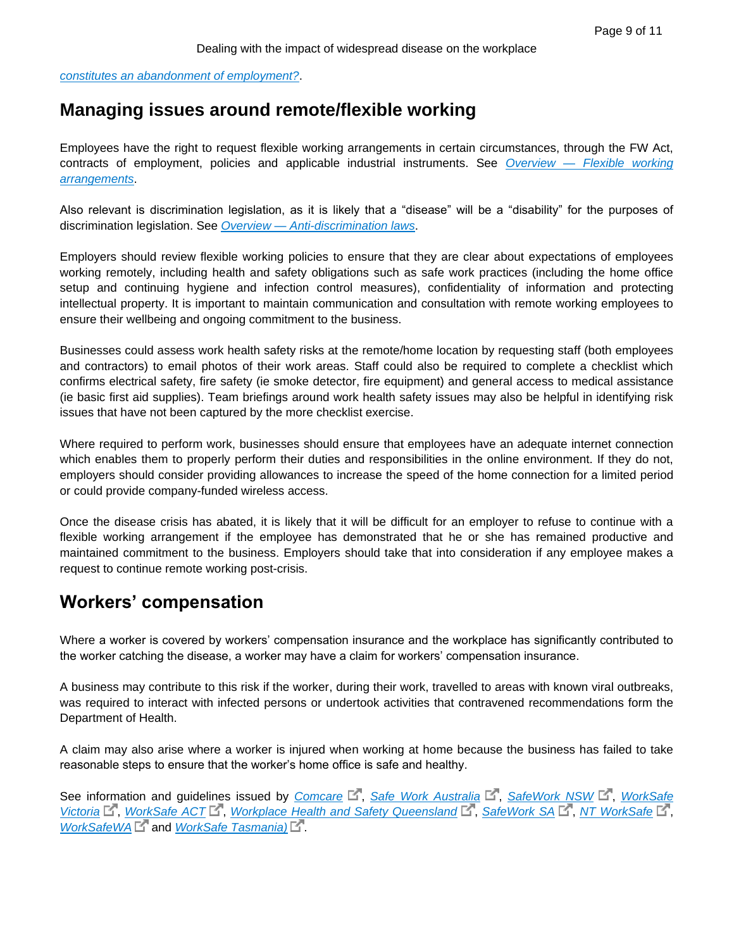*[constitutes an abandonment of employment?](https://advance.lexis.com/api/document?collection=practical-guidance-au&id=urn:contentItem:5PNW-JS71-F30T-B382-00000-00&context=)*.

## **Managing issues around remote/flexible working**

Employees have the right to request flexible working arrangements in certain circumstances, through the FW Act, contracts of employment, policies and applicable industrial instruments. See *Overview — [Flexible working](https://advance.lexis.com/api/document?collection=practical-guidance-au&id=urn:contentItem:58TH-JP01-F528-G0NR-00000-00&context=)  [arrangements](https://advance.lexis.com/api/document?collection=practical-guidance-au&id=urn:contentItem:58TH-JP01-F528-G0NR-00000-00&context=)*.

Also relevant is discrimination legislation, as it is likely that a "disease" will be a "disability" for the purposes of discrimination legislation. See *Overview — [Anti-discrimination laws](https://advance.lexis.com/api/document?collection=practical-guidance-au&id=urn:contentItem:58TH-JP01-F528-G0MT-00000-00&context=)*.

Employers should review flexible working policies to ensure that they are clear about expectations of employees working remotely, including health and safety obligations such as safe work practices (including the home office setup and continuing hygiene and infection control measures), confidentiality of information and protecting intellectual property. It is important to maintain communication and consultation with remote working employees to ensure their wellbeing and ongoing commitment to the business.

Businesses could assess work health safety risks at the remote/home location by requesting staff (both employees and contractors) to email photos of their work areas. Staff could also be required to complete a checklist which confirms electrical safety, fire safety (ie smoke detector, fire equipment) and general access to medical assistance (ie basic first aid supplies). Team briefings around work health safety issues may also be helpful in identifying risk issues that have not been captured by the more checklist exercise.

Where required to perform work, businesses should ensure that employees have an adequate internet connection which enables them to properly perform their duties and responsibilities in the online environment. If they do not, employers should consider providing allowances to increase the speed of the home connection for a limited period or could provide company-funded wireless access.

Once the disease crisis has abated, it is likely that it will be difficult for an employer to refuse to continue with a flexible working arrangement if the employee has demonstrated that he or she has remained productive and maintained commitment to the business. Employers should take that into consideration if any employee makes a request to continue remote working post-crisis.

## **Workers' compensation**

Where a worker is covered by workers' compensation insurance and the workplace has significantly contributed to the worker catching the disease, a worker may have a claim for workers' compensation insurance.

A business may contribute to this risk if the worker, during their work, travelled to areas with known viral outbreaks, was required to interact with infected persons or undertook activities that contravened recommendations form the Department of Health.

A claim may also arise where a worker is injured when working at home because the business has failed to take reasonable steps to ensure that the worker's home office is safe and healthy.

See information and guidelines issued by *[Comcare](https://www.comcare.gov.au/)* L<sup>\*</sup>, *[Safe Work Australia](https://www.safeworkaustralia.gov.au/)* L<sup>\*</sup>, *[SafeWork NSW](https://www.safework.nsw.gov.au/)* L<sup>\*</sup>, *WorkSafe [Victoria](https://www.worksafe.vic.gov.au/)*  $\mathbb{E}^7$ , *[WorkSafe ACT](https://www.accesscanberra.act.gov.au/app/home/workhealthandsafety/worksafeact)*  $\mathbb{E}^7$ , *[Workplace Health and Safety Queensland](https://www.worksafe.qld.gov.au/)*  $\mathbb{E}^7$ , *[SafeWork SA](https://www.safework.sa.gov.au/)*  $\mathbb{E}^7$ , *[NT WorkSafe](https://worksafe.nt.gov.au/)*  $\mathbb{E}^7$ , *[WorkSafeWA](https://www.commerce.wa.gov.au/worksafe)*  $\Box$ <sup>*'''*</sup> and *WorkSafe Tasmania*)  $\Box$ <sup>*''.*</sup>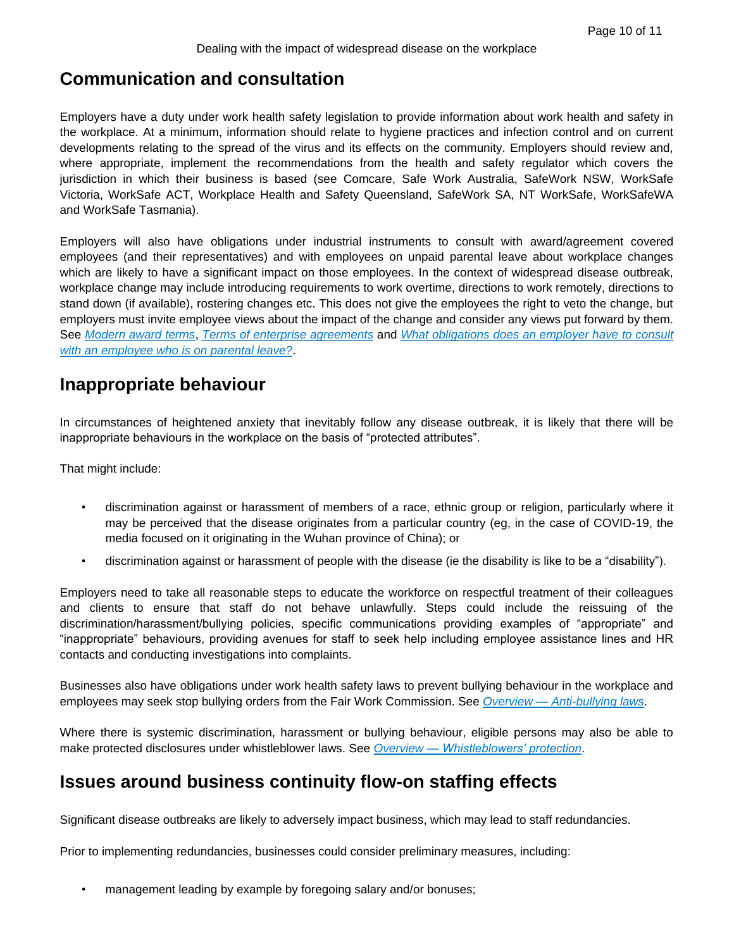## **Communication and consultation**

Employers have a duty under work health safety legislation to provide information about work health and safety in the workplace. At a minimum, information should relate to hygiene practices and infection control and on current developments relating to the spread of the virus and its effects on the community. Employers should review and, where appropriate, implement the recommendations from the health and safety regulator which covers the jurisdiction in which their business is based (see Comcare, Safe Work Australia, SafeWork NSW, WorkSafe Victoria, WorkSafe ACT, Workplace Health and Safety Queensland, SafeWork SA, NT WorkSafe, WorkSafeWA and WorkSafe Tasmania).

Employers will also have obligations under industrial instruments to consult with award/agreement covered employees (and their representatives) and with employees on unpaid parental leave about workplace changes which are likely to have a significant impact on those employees. In the context of widespread disease outbreak, workplace change may include introducing requirements to work overtime, directions to work remotely, directions to stand down (if available), rostering changes etc. This does not give the employees the right to veto the change, but employers must invite employee views about the impact of the change and consider any views put forward by them. See *[Modern award terms](https://advance.lexis.com/api/document?collection=practical-guidance-au&id=urn:contentItem:58TV-GSP1-FD4T-B1MM-00000-00&context=)*, *[Terms of enterprise agreements](https://advance.lexis.com/api/document?collection=practical-guidance-au&id=urn:contentItem:58TV-GSP1-FD4T-B1N1-00000-00&context=)* and *[What obligations does an employer have to consult](https://advance.lexis.com/api/document?collection=practical-guidance-au&id=urn:contentItem:5PYN-K1S1-JX3N-B371-00000-00&context=)  [with an employee who is on parental leave?](https://advance.lexis.com/api/document?collection=practical-guidance-au&id=urn:contentItem:5PYN-K1S1-JX3N-B371-00000-00&context=)*.

## **Inappropriate behaviour**

In circumstances of heightened anxiety that inevitably follow any disease outbreak, it is likely that there will be inappropriate behaviours in the workplace on the basis of "protected attributes".

That might include:

- discrimination against or harassment of members of a race, ethnic group or religion, particularly where it may be perceived that the disease originates from a particular country (eg, in the case of COVID-19, the media focused on it originating in the Wuhan province of China); or
- discrimination against or harassment of people with the disease (ie the disability is like to be a "disability").

Employers need to take all reasonable steps to educate the workforce on respectful treatment of their colleagues and clients to ensure that staff do not behave unlawfully. Steps could include the reissuing of the discrimination/harassment/bullying policies, specific communications providing examples of "appropriate" and "inappropriate" behaviours, providing avenues for staff to seek help including employee assistance lines and HR contacts and conducting investigations into complaints.

Businesses also have obligations under work health safety laws to prevent bullying behaviour in the workplace and employees may seek stop bullying orders from the Fair Work Commission. See *Overview — [Anti-bullying laws](https://advance.lexis.com/api/document?collection=practical-guidance-au&id=urn:contentItem:5PCJ-5SX1-JGPY-X511-00000-00&context=)*.

Where there is systemic discrimination, harassment or bullying behaviour, eligible persons may also be able to make protected disclosures under whistleblower laws. See *Overview — [Whistleblowers' protection](https://advance.lexis.com/api/document?collection=practical-guidance-au&id=urn:contentItem:58TH-JP01-F528-G0NH-00000-00&context=)*.

# **Issues around business continuity flow-on staffing effects**

Significant disease outbreaks are likely to adversely impact business, which may lead to staff redundancies.

Prior to implementing redundancies, businesses could consider preliminary measures, including:

management leading by example by foregoing salary and/or bonuses;